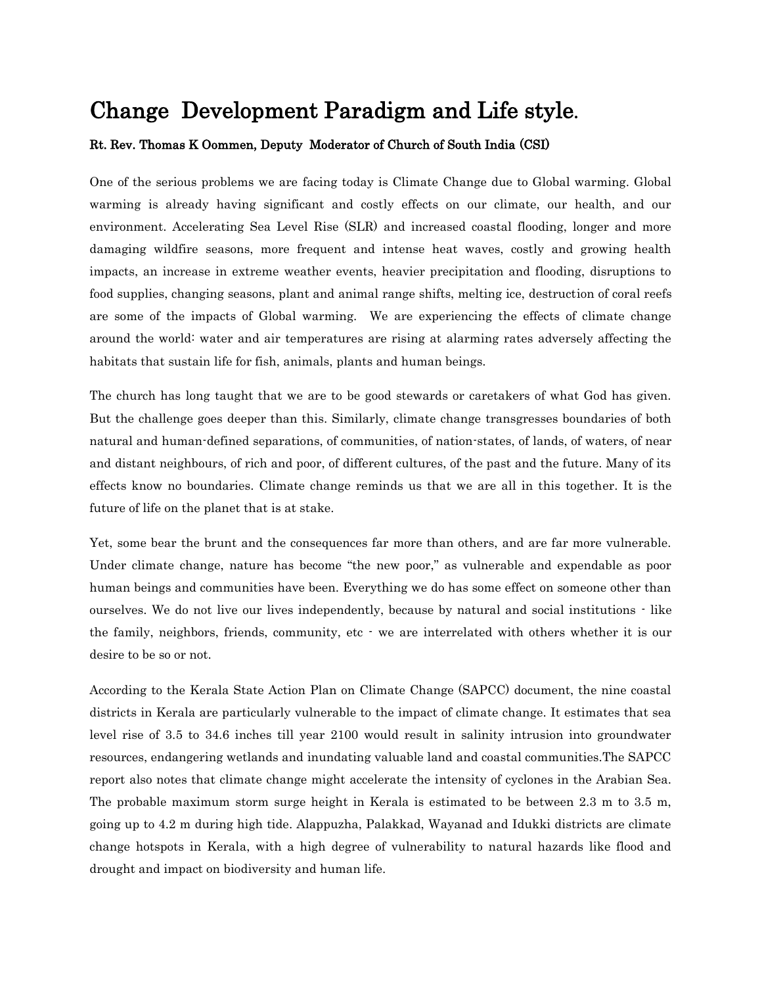# Change Development Paradigm and Life style.

# Rt. Rev. Thomas K Oommen, Deputy Moderator of Church of South India (CSI)

One of the serious problems we are facing today is Climate Change due to Global warming. Global warming is already having significant and costly effects on our climate, our health, and our environment. Accelerating Sea Level Rise (SLR) and increased coastal flooding, longer and more damaging wildfire seasons, more frequent and intense heat waves, costly and growing health impacts, an increase in extreme weather events, heavier precipitation and flooding, disruptions to food supplies, changing seasons, plant and animal range shifts, melting ice, destruction of coral reefs are some of the impacts of Global warming. We are experiencing the effects of climate change around the world: water and air temperatures are rising at alarming rates adversely affecting the habitats that sustain life for fish, animals, plants and human beings.

The church has long taught that we are to be good stewards or caretakers of what God has given. But the challenge goes deeper than this. Similarly, climate change transgresses boundaries of both natural and human-defined separations, of communities, of nation-states, of lands, of waters, of near and distant neighbours, of rich and poor, of different cultures, of the past and the future. Many of its effects know no boundaries. Climate change reminds us that we are all in this together. It is the future of life on the planet that is at stake.

Yet, some bear the brunt and the consequences far more than others, and are far more vulnerable. Under climate change, nature has become "the new poor," as vulnerable and expendable as poor human beings and communities have been. Everything we do has some effect on someone other than ourselves. We do not live our lives independently, because by natural and social institutions - like the family, neighbors, friends, community, etc - we are interrelated with others whether it is our desire to be so or not.

According to the Kerala State Action Plan on Climate Change (SAPCC) document, the nine coastal districts in Kerala are particularly vulnerable to the impact of climate change. It estimates that sea level rise of 3.5 to 34.6 inches till year 2100 would result in salinity intrusion into groundwater resources, endangering wetlands and inundating valuable land and coastal communities.The SAPCC report also notes that climate change might accelerate the intensity of cyclones in the Arabian Sea. The probable maximum storm surge height in Kerala is estimated to be between 2.3 m to 3.5 m, going up to 4.2 m during high tide. Alappuzha, Palakkad, Wayanad and Idukki districts are climate change hotspots in Kerala, with a high degree of vulnerability to natural hazards like flood and drought and impact on biodiversity and human life.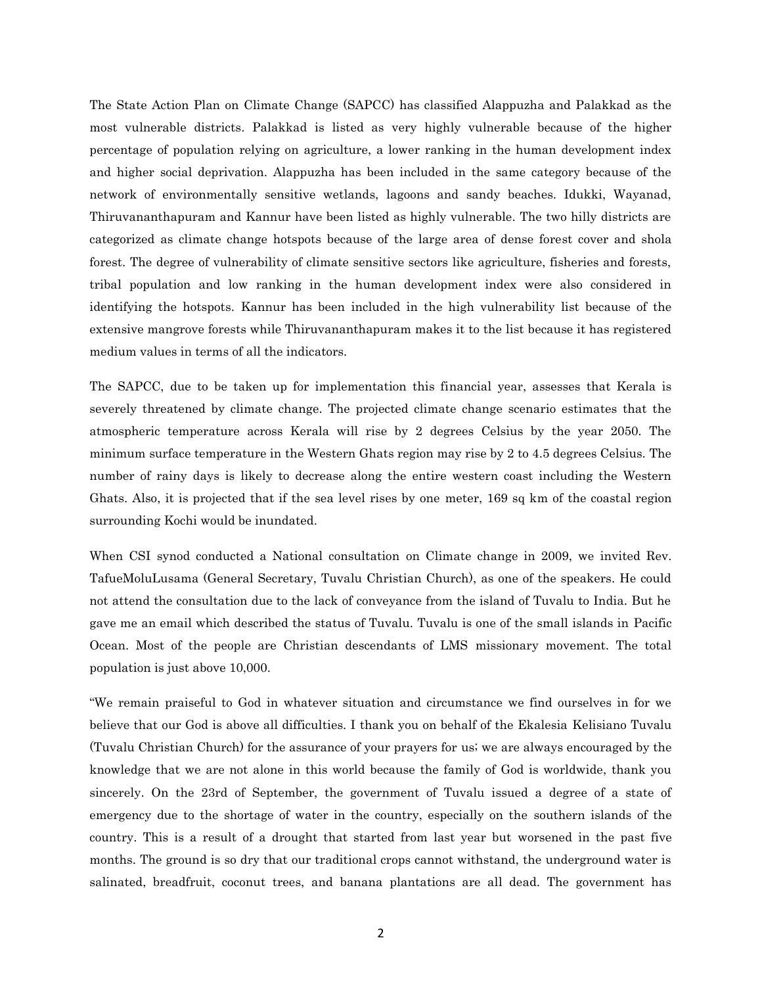The State Action Plan on Climate Change (SAPCC) has classified Alappuzha and Palakkad as the most vulnerable districts. Palakkad is listed as very highly vulnerable because of the higher percentage of population relying on agriculture, a lower ranking in the human development index and higher social deprivation. Alappuzha has been included in the same category because of the network of environmentally sensitive wetlands, lagoons and sandy beaches. Idukki, Wayanad, Thiruvananthapuram and Kannur have been listed as highly vulnerable. The two hilly districts are categorized as climate change hotspots because of the large area of dense forest cover and shola forest. The degree of vulnerability of climate sensitive sectors like agriculture, fisheries and forests, tribal population and low ranking in the human development index were also considered in identifying the hotspots. Kannur has been included in the high vulnerability list because of the extensive mangrove forests while Thiruvananthapuram makes it to the list because it has registered medium values in terms of all the indicators.

The SAPCC, due to be taken up for implementation this financial year, assesses that Kerala is severely threatened by climate change. The projected climate change scenario estimates that the atmospheric temperature across Kerala will rise by 2 degrees Celsius by the year 2050. The minimum surface temperature in the Western Ghats region may rise by 2 to 4.5 degrees Celsius. The number of rainy days is likely to decrease along the entire western coast including the Western Ghats. Also, it is projected that if the sea level rises by one meter, 169 sq km of the coastal region surrounding Kochi would be inundated.

When CSI synod conducted a National consultation on Climate change in 2009, we invited Rev. TafueMoluLusama (General Secretary, Tuvalu Christian Church), as one of the speakers. He could not attend the consultation due to the lack of conveyance from the island of Tuvalu to India. But he gave me an email which described the status of Tuvalu. Tuvalu is one of the small islands in Pacific Ocean. Most of the people are Christian descendants of LMS missionary movement. The total population is just above 10,000.

"We remain praiseful to God in whatever situation and circumstance we find ourselves in for we believe that our God is above all difficulties. I thank you on behalf of the Ekalesia Kelisiano Tuvalu (Tuvalu Christian Church) for the assurance of your prayers for us; we are always encouraged by the knowledge that we are not alone in this world because the family of God is worldwide, thank you sincerely. On the 23rd of September, the government of Tuvalu issued a degree of a state of emergency due to the shortage of water in the country, especially on the southern islands of the country. This is a result of a drought that started from last year but worsened in the past five months. The ground is so dry that our traditional crops cannot withstand, the underground water is salinated, breadfruit, coconut trees, and banana plantations are all dead. The government has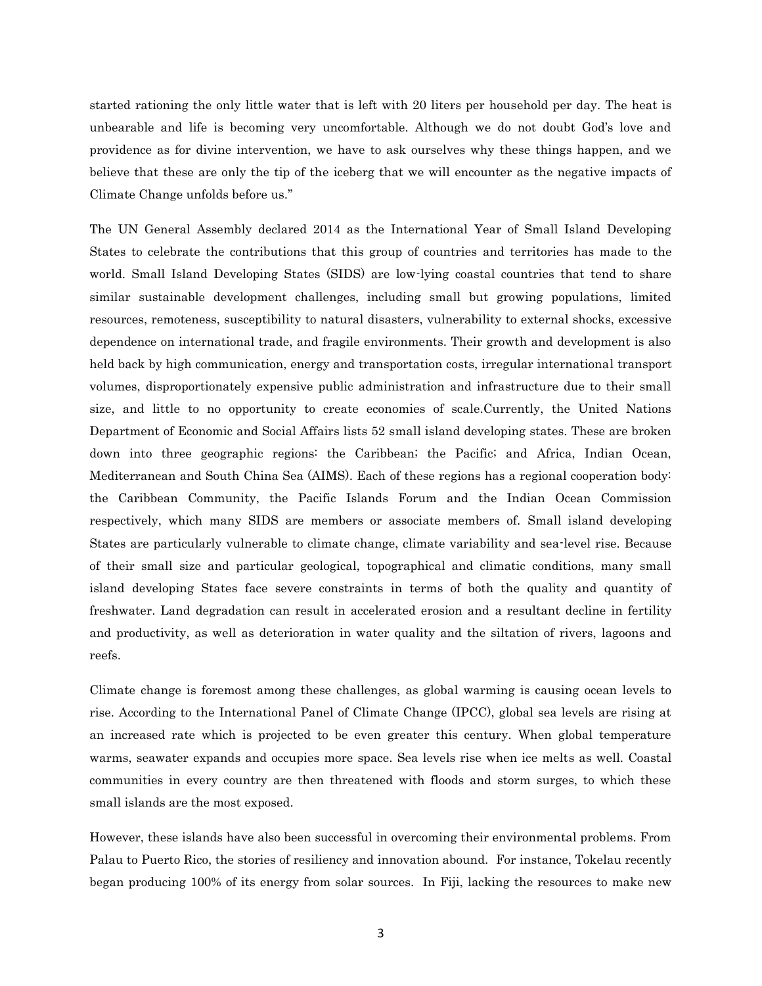started rationing the only little water that is left with 20 liters per household per day. The heat is unbearable and life is becoming very uncomfortable. Although we do not doubt God's love and providence as for divine intervention, we have to ask ourselves why these things happen, and we believe that these are only the tip of the iceberg that we will encounter as the negative impacts of Climate Change unfolds before us."

The UN General Assembly declared 2014 as the International Year of Small Island Developing States to celebrate the contributions that this group of countries and territories has made to the world. Small Island Developing States (SIDS) are low-lying coastal countries that tend to share similar sustainable development challenges, including small but growing populations, limited resources, remoteness, susceptibility to natural disasters, vulnerability to external shocks, excessive dependence on international trade, and fragile environments. Their growth and development is also held back by high communication, energy and transportation costs, irregular international transport volumes, disproportionately expensive public administration and infrastructure due to their small size, and little to no opportunity to create economies of scale.Currently, the United Nations Department of Economic and Social Affairs lists 52 small island developing states. These are broken down into three geographic regions: the Caribbean; the Pacific; and Africa, Indian Ocean, Mediterranean and South China Sea (AIMS). Each of these regions has a regional cooperation body: the Caribbean Community, the Pacific Islands Forum and the Indian Ocean Commission respectively, which many SIDS are members or associate members of. Small island developing States are particularly vulnerable to climate change, climate variability and sea-level rise. Because of their small size and particular geological, topographical and climatic conditions, many small island developing States face severe constraints in terms of both the quality and quantity of freshwater. Land degradation can result in accelerated erosion and a resultant decline in fertility and productivity, as well as deterioration in water quality and the siltation of rivers, lagoons and reefs.

Climate change is foremost among these challenges, as global warming is causing ocean levels to rise. According to the International Panel of Climate Change (IPCC), global sea levels are rising at an increased rate which is projected to be even greater this century. When global temperature warms, seawater expands and occupies more space. Sea levels rise when ice melts as well. Coastal communities in every country are then threatened with floods and storm surges, to which these small islands are the most exposed.

However, these islands have also been successful in overcoming their environmental problems. From Palau to Puerto Rico, the stories of resiliency and innovation abound. For instance, Tokelau recently began producing 100% of its energy from solar sources. In Fiji, lacking the resources to make new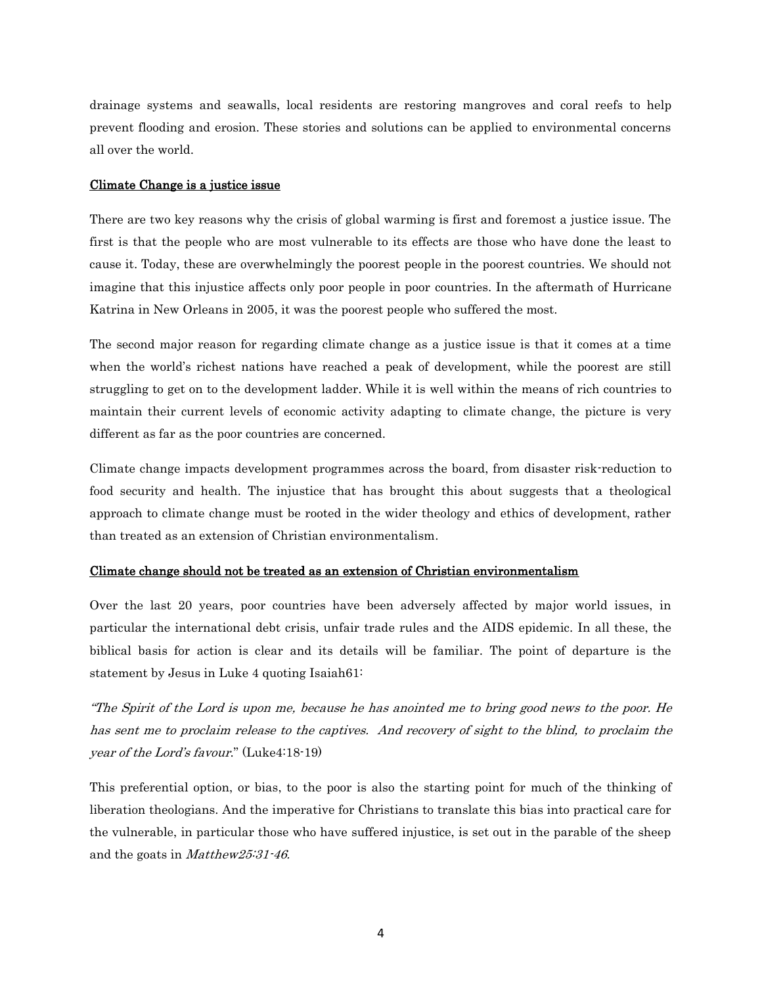drainage systems and seawalls, local residents are restoring mangroves and coral reefs to help prevent flooding and erosion. These stories and solutions can be applied to environmental concerns all over the world.

# Climate Change is a justice issue

There are two key reasons why the crisis of global warming is first and foremost a justice issue. The first is that the people who are most vulnerable to its effects are those who have done the least to cause it. Today, these are overwhelmingly the poorest people in the poorest countries. We should not imagine that this injustice affects only poor people in poor countries. In the aftermath of Hurricane Katrina in New Orleans in 2005, it was the poorest people who suffered the most.

The second major reason for regarding climate change as a justice issue is that it comes at a time when the world's richest nations have reached a peak of development, while the poorest are still struggling to get on to the development ladder. While it is well within the means of rich countries to maintain their current levels of economic activity adapting to climate change, the picture is very different as far as the poor countries are concerned.

Climate change impacts development programmes across the board, from disaster risk-reduction to food security and health. The injustice that has brought this about suggests that a theological approach to climate change must be rooted in the wider theology and ethics of development, rather than treated as an extension of Christian environmentalism.

## Climate change should not be treated as an extension of Christian environmentalism

Over the last 20 years, poor countries have been adversely affected by major world issues, in particular the international debt crisis, unfair trade rules and the AIDS epidemic. In all these, the biblical basis for action is clear and its details will be familiar. The point of departure is the statement by Jesus in Luke 4 quoting Isaiah61:

"The Spirit of the Lord is upon me, because he has anointed me to bring good news to the poor. He has sent me to proclaim release to the captives. And recovery of sight to the blind, to proclaim the year of the Lord's favour." (Luke4:18-19)

This preferential option, or bias, to the poor is also the starting point for much of the thinking of liberation theologians. And the imperative for Christians to translate this bias into practical care for the vulnerable, in particular those who have suffered injustice, is set out in the parable of the sheep and the goats in Matthew25:31-46.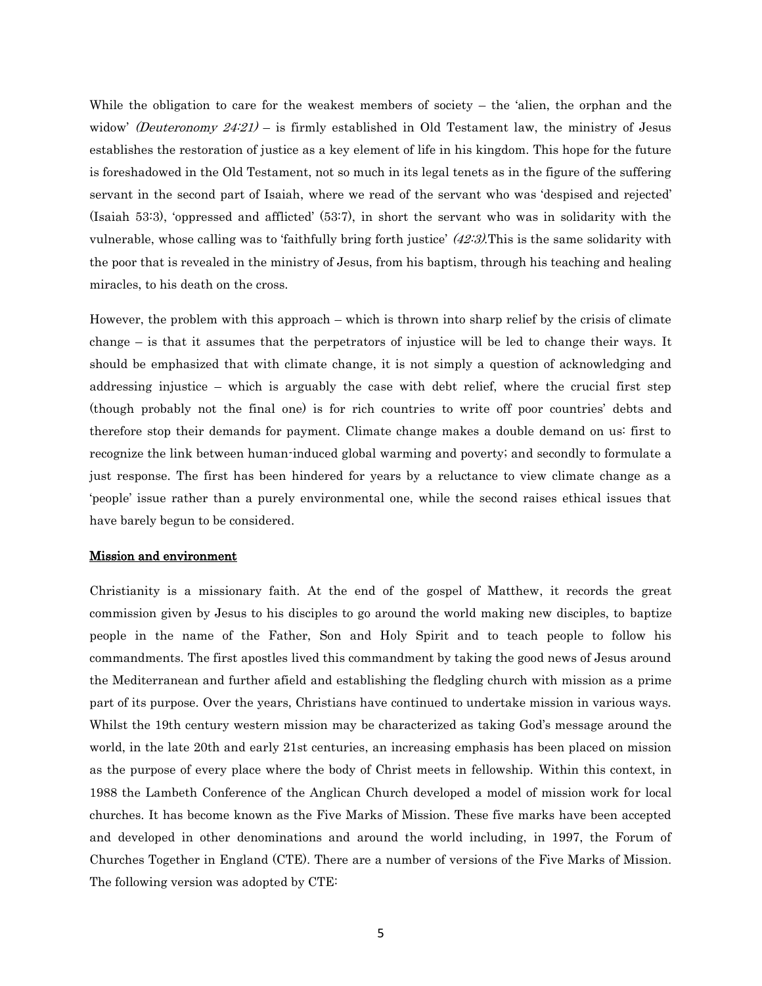While the obligation to care for the weakest members of society  $-$  the 'alien, the orphan and the widow' (Deuteronomy  $24:21$ ) – is firmly established in Old Testament law, the ministry of Jesus establishes the restoration of justice as a key element of life in his kingdom. This hope for the future is foreshadowed in the Old Testament, not so much in its legal tenets as in the figure of the suffering servant in the second part of Isaiah, where we read of the servant who was 'despised and rejected' (Isaiah 53:3), 'oppressed and afflicted' (53:7), in short the servant who was in solidarity with the vulnerable, whose calling was to 'faithfully bring forth justice' (42:3).This is the same solidarity with the poor that is revealed in the ministry of Jesus, from his baptism, through his teaching and healing miracles, to his death on the cross.

However, the problem with this approach – which is thrown into sharp relief by the crisis of climate change – is that it assumes that the perpetrators of injustice will be led to change their ways. It should be emphasized that with climate change, it is not simply a question of acknowledging and addressing injustice – which is arguably the case with debt relief, where the crucial first step (though probably not the final one) is for rich countries to write off poor countries' debts and therefore stop their demands for payment. Climate change makes a double demand on us: first to recognize the link between human-induced global warming and poverty; and secondly to formulate a just response. The first has been hindered for years by a reluctance to view climate change as a 'people' issue rather than a purely environmental one, while the second raises ethical issues that have barely begun to be considered.

#### Mission and environment

Christianity is a missionary faith. At the end of the gospel of Matthew, it records the great commission given by Jesus to his disciples to go around the world making new disciples, to baptize people in the name of the Father, Son and Holy Spirit and to teach people to follow his commandments. The first apostles lived this commandment by taking the good news of Jesus around the Mediterranean and further afield and establishing the fledgling church with mission as a prime part of its purpose. Over the years, Christians have continued to undertake mission in various ways. Whilst the 19th century western mission may be characterized as taking God's message around the world, in the late 20th and early 21st centuries, an increasing emphasis has been placed on mission as the purpose of every place where the body of Christ meets in fellowship. Within this context, in 1988 the Lambeth Conference of the Anglican Church developed a model of mission work for local churches. It has become known as the Five Marks of Mission. These five marks have been accepted and developed in other denominations and around the world including, in 1997, the Forum of Churches Together in England (CTE). There are a number of versions of the Five Marks of Mission. The following version was adopted by CTE: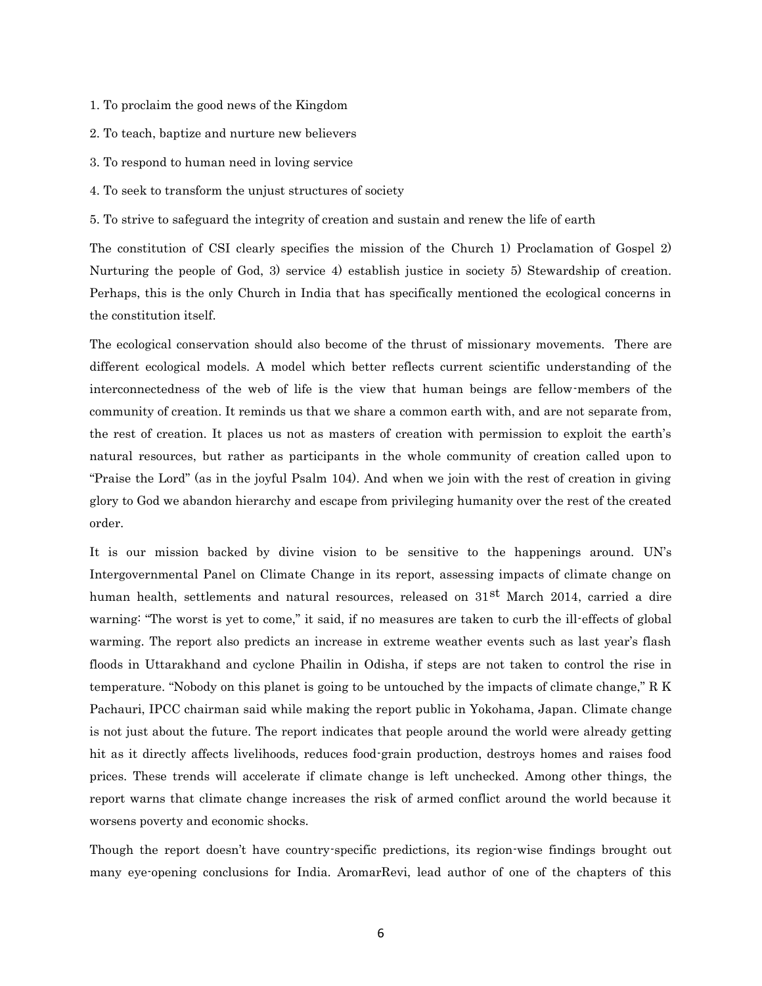- 1. To proclaim the good news of the Kingdom
- 2. To teach, baptize and nurture new believers
- 3. To respond to human need in loving service
- 4. To seek to transform the unjust structures of society

5. To strive to safeguard the integrity of creation and sustain and renew the life of earth

The constitution of CSI clearly specifies the mission of the Church 1) Proclamation of Gospel 2) Nurturing the people of God, 3) service 4) establish justice in society 5) Stewardship of creation. Perhaps, this is the only Church in India that has specifically mentioned the ecological concerns in the constitution itself.

The ecological conservation should also become of the thrust of missionary movements. There are different ecological models. A model which better reflects current scientific understanding of the interconnectedness of the web of life is the view that human beings are fellow-members of the community of creation. It reminds us that we share a common earth with, and are not separate from, the rest of creation. It places us not as masters of creation with permission to exploit the earth's natural resources, but rather as participants in the whole community of creation called upon to "Praise the Lord" (as in the joyful Psalm 104). And when we join with the rest of creation in giving glory to God we abandon hierarchy and escape from privileging humanity over the rest of the created order.

It is our mission backed by divine vision to be sensitive to the happenings around. UN's Intergovernmental Panel on Climate Change in its report, assessing impacts of climate change on human health, settlements and natural resources, released on 31<sup>st</sup> March 2014, carried a dire warning: "The worst is yet to come," it said, if no measures are taken to curb the ill-effects of global warming. The report also predicts an increase in extreme weather events such as last year's flash floods in Uttarakhand and cyclone Phailin in Odisha, if steps are not taken to control the rise in temperature. "Nobody on this planet is going to be untouched by the impacts of climate change," R K Pachauri, IPCC chairman said while making the report public in Yokohama, Japan. Climate change is not just about the future. The report indicates that people around the world were already getting hit as it directly affects livelihoods, reduces food-grain production, destroys homes and raises food prices. These trends will accelerate if climate change is left unchecked. Among other things, the report warns that climate change increases the risk of armed conflict around the world because it worsens poverty and economic shocks.

Though the report doesn't have country-specific predictions, its region-wise findings brought out many eye-opening conclusions for India. AromarRevi, lead author of one of the chapters of this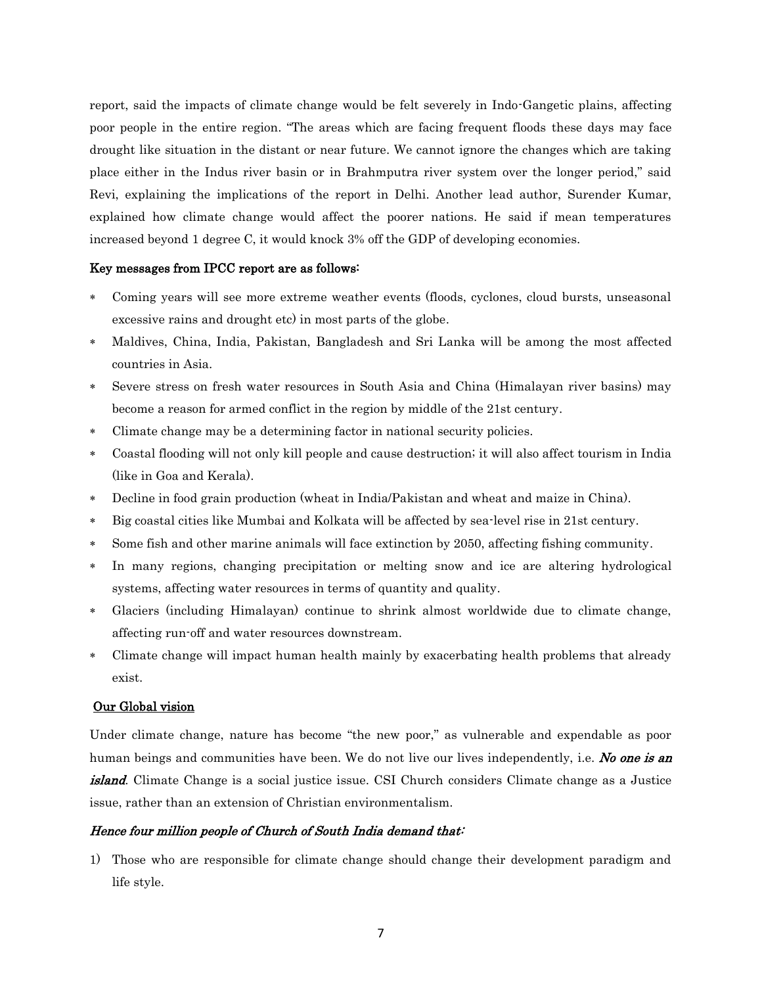report, said the impacts of climate change would be felt severely in Indo-Gangetic plains, affecting poor people in the entire region. "The areas which are facing frequent floods these days may face drought like situation in the distant or near future. We cannot ignore the changes which are taking place either in the Indus river basin or in Brahmputra river system over the longer period," said Revi, explaining the implications of the report in Delhi. Another lead author, Surender Kumar, explained how climate change would affect the poorer nations. He said if mean temperatures increased beyond 1 degree C, it would knock 3% off the GDP of developing economies.

## Key messages from IPCC report are as follows:

- Coming years will see more extreme weather events (floods, cyclones, cloud bursts, unseasonal excessive rains and drought etc) in most parts of the globe.
- Maldives, China, India, Pakistan, Bangladesh and Sri Lanka will be among the most affected countries in Asia.
- Severe stress on fresh water resources in South Asia and China (Himalayan river basins) may become a reason for armed conflict in the region by middle of the 21st century.
- Climate change may be a determining factor in national security policies.
- Coastal flooding will not only kill people and cause destruction; it will also affect tourism in India (like in Goa and Kerala).
- Decline in food grain production (wheat in India/Pakistan and wheat and maize in China).
- Big coastal cities like Mumbai and Kolkata will be affected by sea-level rise in 21st century.
- Some fish and other marine animals will face extinction by 2050, affecting fishing community.
- In many regions, changing precipitation or melting snow and ice are altering hydrological systems, affecting water resources in terms of quantity and quality.
- Glaciers (including Himalayan) continue to shrink almost worldwide due to climate change, affecting run-off and water resources downstream.
- Climate change will impact human health mainly by exacerbating health problems that already exist.

#### Our Global vision

Under climate change, nature has become "the new poor," as vulnerable and expendable as poor human beings and communities have been. We do not live our lives independently, i.e. No one is an island. Climate Change is a social justice issue. CSI Church considers Climate change as a Justice issue, rather than an extension of Christian environmentalism.

## Hence four million people of Church of South India demand that:

1) Those who are responsible for climate change should change their development paradigm and life style.